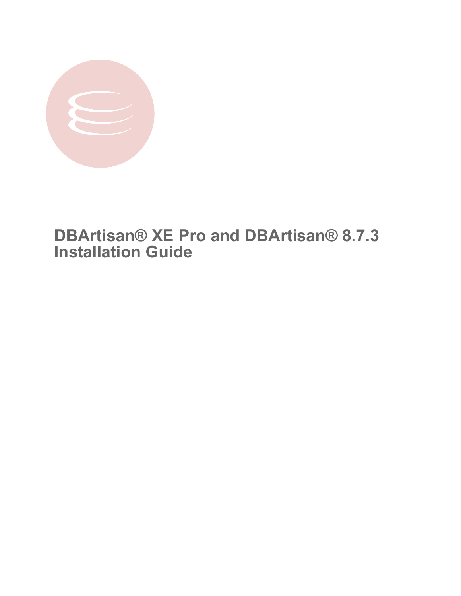

# **DBArtisan® XE Pro and DBArtisan® 8.7.3 Installation Guide**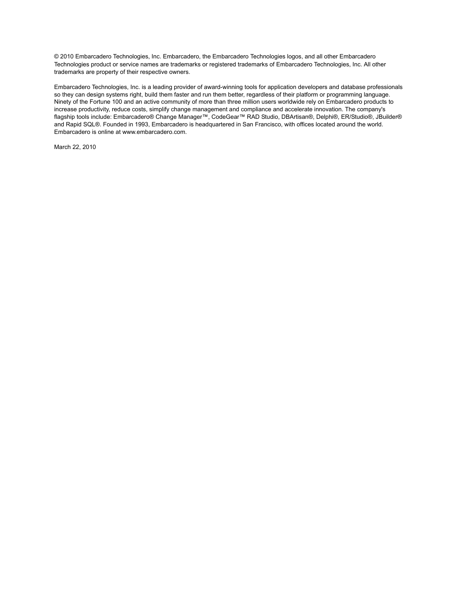© 2010 Embarcadero Technologies, Inc. Embarcadero, the Embarcadero Technologies logos, and all other Embarcadero Technologies product or service names are trademarks or registered trademarks of Embarcadero Technologies, Inc. All other trademarks are property of their respective owners.

Embarcadero Technologies, Inc. is a leading provider of award-winning tools for application developers and database professionals so they can design systems right, build them faster and run them better, regardless of their platform or programming language. Ninety of the Fortune 100 and an active community of more than three million users worldwide rely on Embarcadero products to increase productivity, reduce costs, simplify change management and compliance and accelerate innovation. The company's flagship tools include: Embarcadero® Change Manager™, CodeGear™ RAD Studio, DBArtisan®, Delphi®, ER/Studio®, JBuilder® and Rapid SQL®. Founded in 1993, Embarcadero is headquartered in San Francisco, with offices located around the world. Embarcadero is online at www.embarcadero.com.

March 22, 2010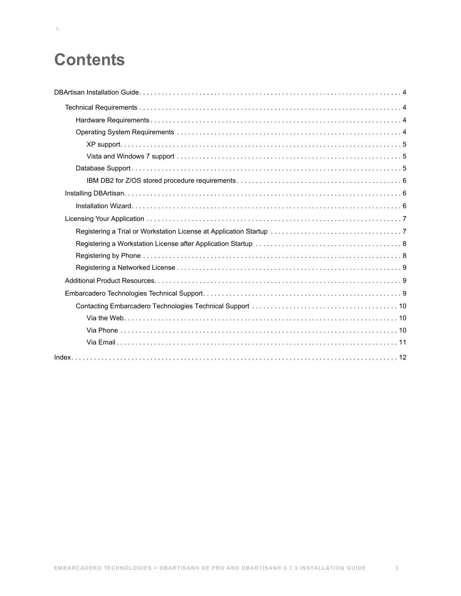# **Contents**

 **>**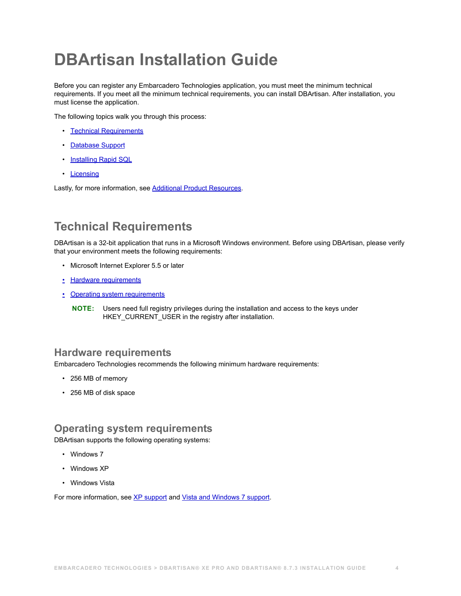# <span id="page-3-0"></span>**DBArtisan Installation Guide**

Before you can register any Embarcadero Technologies application, you must meet the minimum technical requirements. If you meet all the minimum technical requirements, you can install DBArtisan. After installation, you must license the application.

The following topics walk you through this process:

- [Technical Requirements](#page-3-3)
- [Database Support](#page-4-2)
- [Installing Rapid SQL](#page-5-0)
- [Licensing](#page-6-0)

Lastly, for more information, see [Additional Product Resources.](#page-9-0)

# <span id="page-3-3"></span>**Technical Requirements**

DBArtisan is a 32-bit application that runs in a Microsoft Windows environment. Before using DBArtisan, please verify that your environment meets the following requirements:

- Microsoft Internet Explorer 5.5 or later
- [Hardware requirements](#page-3-1)
- [Operating system requirements](#page-3-2)
	- **NOTE:** Users need full registry privileges during the installation and access to the keys under HKEY\_CURRENT\_USER in the registry after installation.

## <span id="page-3-1"></span>**Hardware requirements**

Embarcadero Technologies recommends the following minimum hardware requirements:

- 256 MB of memory
- 256 MB of disk space

## <span id="page-3-2"></span>**Operating system requirements**

DBArtisan supports the following operating systems:

- Windows 7
- Windows XP
- Windows Vista

For more information, see [XP support](#page-4-0) and [Vista and Windows 7 support](#page-4-1).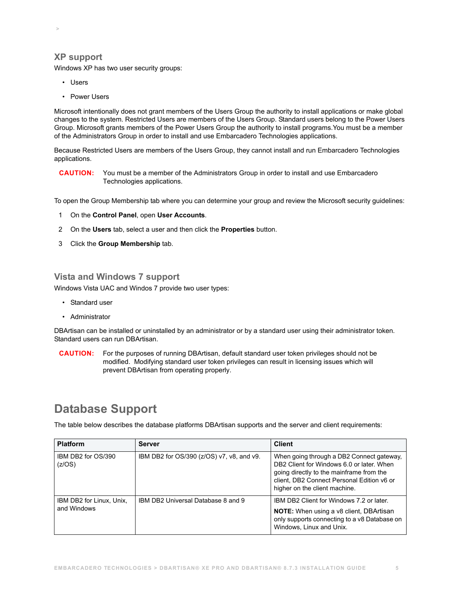### <span id="page-4-0"></span>**XP support**

 **>** 

Windows XP has two user security groups:

- Users
- Power Users

Microsoft intentionally does not grant members of the Users Group the authority to install applications or make global changes to the system. Restricted Users are members of the Users Group. Standard users belong to the Power Users Group. Microsoft grants members of the Power Users Group the authority to install programs.You must be a member of the Administrators Group in order to install and use Embarcadero Technologies applications.

Because Restricted Users are members of the Users Group, they cannot install and run Embarcadero Technologies applications.

**CAUTION:** You must be a member of the Administrators Group in order to install and use Embarcadero Technologies applications.

To open the Group Membership tab where you can determine your group and review the Microsoft security guidelines:

- 1 On the **Control Panel**, open **User Accounts**.
- 2 On the **Users** tab, select a user and then click the **Properties** button.
- 3 Click the **Group Membership** tab.

### <span id="page-4-1"></span>**Vista and Windows 7 support**

Windows Vista UAC and Windos 7 provide two user types:

- Standard user
- Administrator

DBArtisan can be installed or uninstalled by an administrator or by a standard user using their administrator token. Standard users can run DBArtisan.

**CAUTION:** For the purposes of running DBArtisan, default standard user token privileges should not be modified. Modifying standard user token privileges can result in licensing issues which will prevent DBArtisan from operating properly.

# <span id="page-4-2"></span>**Database Support**

The table below describes the database platforms DBArtisan supports and the server and client requirements:

| <b>Platform</b>                         | Server                                    | <b>Client</b>                                                                                                                                                                                                     |
|-----------------------------------------|-------------------------------------------|-------------------------------------------------------------------------------------------------------------------------------------------------------------------------------------------------------------------|
| IBM DB2 for OS/390<br>(z/OS)            | IBM DB2 for OS/390 (z/OS) v7, v8, and v9. | When going through a DB2 Connect gateway,<br>DB2 Client for Windows 6.0 or later. When<br>going directly to the mainframe from the<br>client, DB2 Connect Personal Edition v6 or<br>higher on the client machine. |
| IBM DB2 for Linux, Unix,<br>and Windows | IBM DB2 Universal Database 8 and 9        | IBM DB2 Client for Windows 7.2 or later.<br><b>NOTE:</b> When using a v8 client, DBArtisan<br>only supports connecting to a v8 Database on<br>Windows, Linux and Unix.                                            |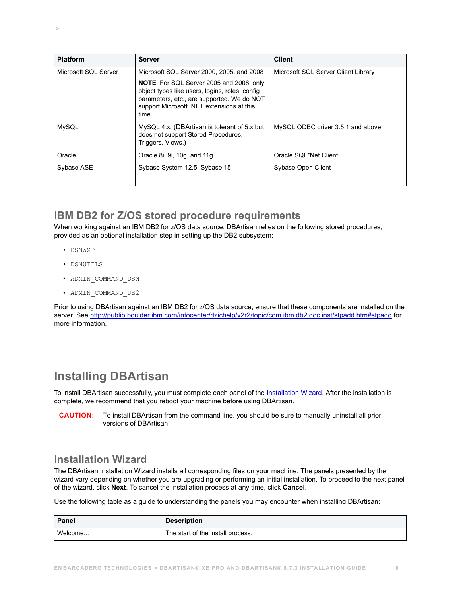| <b>Platform</b>      | <b>Server</b>                                                                                                                                                                                         | <b>Client</b>                       |
|----------------------|-------------------------------------------------------------------------------------------------------------------------------------------------------------------------------------------------------|-------------------------------------|
| Microsoft SQL Server | Microsoft SQL Server 2000, 2005, and 2008                                                                                                                                                             | Microsoft SQL Server Client Library |
|                      | <b>NOTE:</b> For SQL Server 2005 and 2008, only<br>object types like users, logins, roles, config<br>parameters, etc., are supported. We do NOT<br>support Microsoft .NET extensions at this<br>time. |                                     |
| <b>MySQL</b>         | MySQL 4.x. (DBArtisan is tolerant of 5.x but<br>does not support Stored Procedures,<br>Triggers, Views.)                                                                                              | MySQL ODBC driver 3.5.1 and above   |
| Oracle               | Oracle 8i, 9i, 10g, and 11g                                                                                                                                                                           | Oracle SQL*Net Client               |
| Sybase ASE           | Sybase System 12.5, Sybase 15                                                                                                                                                                         | Sybase Open Client                  |

# **IBM DB2 for Z/OS stored procedure requirements**

When working against an IBM DB2 for z/OS data source, DBArtisan relies on the following stored procedures, provided as an optional installation step in setting up the DB2 subsystem:

• DSNWZP

 **>** 

- DSNUTILS
- ADMIN\_COMMAND\_DSN
- ADMIN\_COMMAND\_DB2

Prior to using DBArtisan against an IBM DB2 for z/OS data source, ensure that these components are installed on the server. See [http://publib.boulder.ibm.com/infocenter/dzichelp/v2r2/topic/com.ibm.db2.doc.inst/stpadd.htm#stpadd](http://publib.boulder.ibm.com/infocenter/dzichelp/v2r2/index.jsp?topic=/com.ibm.db2.doc.inst/stpadd.htm) for more information.

# <span id="page-5-2"></span><span id="page-5-0"></span>**Installing DBArtisan**

To install DBArtisan successfully, you must complete each panel of the *Installation Wizard*. After the installation is complete, we recommend that you reboot your machine before using DBArtisan.

**CAUTION:** To install DBArtisan from the command line, you should be sure to manually uninstall all prior versions of DBArtisan.

## <span id="page-5-1"></span>**Installation Wizard**

The DBArtisan Installation Wizard installs all corresponding files on your machine. The panels presented by the wizard vary depending on whether you are upgrading or performing an initial installation. To proceed to the next panel of the wizard, click **Next**. To cancel the installation process at any time, click **Cancel**.

Use the following table as a guide to understanding the panels you may encounter when installing DBArtisan:

| Panel   | <b>Description</b>                |
|---------|-----------------------------------|
| Welcome | The start of the install process. |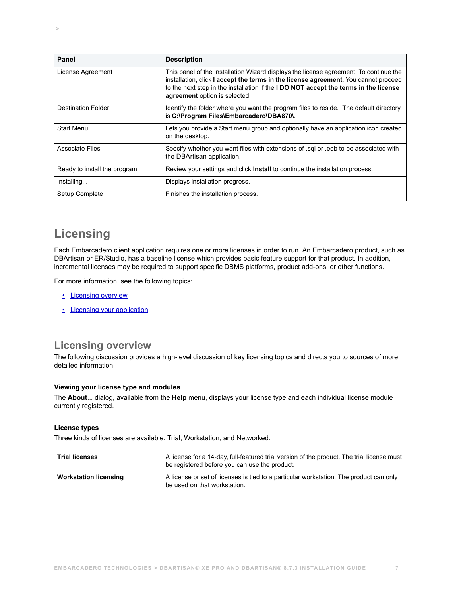| Panel                        | <b>Description</b>                                                                                                                                                                                                                                                                                           |
|------------------------------|--------------------------------------------------------------------------------------------------------------------------------------------------------------------------------------------------------------------------------------------------------------------------------------------------------------|
| License Agreement            | This panel of the Installation Wizard displays the license agreement. To continue the<br>installation, click I accept the terms in the license agreement. You cannot proceed<br>to the next step in the installation if the <b>I DO NOT accept the terms in the license</b><br>agreement option is selected. |
| <b>Destination Folder</b>    | Identify the folder where you want the program files to reside. The default directory<br>is C:\Program Files\Embarcadero\DBA870\.                                                                                                                                                                            |
| Start Menu                   | Lets you provide a Start menu group and optionally have an application icon created<br>on the desktop.                                                                                                                                                                                                       |
| <b>Associate Files</b>       | Specify whether you want files with extensions of .sql or .eqb to be associated with<br>the DBArtisan application.                                                                                                                                                                                           |
| Ready to install the program | Review your settings and click <b>Install</b> to continue the installation process.                                                                                                                                                                                                                          |
| Installing                   | Displays installation progress.                                                                                                                                                                                                                                                                              |
| Setup Complete               | Finishes the installation process.                                                                                                                                                                                                                                                                           |

# <span id="page-6-0"></span>**Licensing**

 **>** 

Each Embarcadero client application requires one or more licenses in order to run. An Embarcadero product, such as DBArtisan or ER/Studio, has a baseline license which provides basic feature support for that product. In addition, incremental licenses may be required to support specific DBMS platforms, product add-ons, or other functions.

For more information, see the following topics:

- [Licensing overview](#page-6-1)
- [Licensing your application](#page-7-0)

# <span id="page-6-1"></span>**Licensing overview**

The following discussion provides a high-level discussion of key licensing topics and directs you to sources of more detailed information.

#### **Viewing your license type and modules**

The **About**... dialog, available from the **Help** menu, displays your license type and each individual license module currently registered.

#### **License types**

Three kinds of licenses are available: Trial, Workstation, and Networked.

| <b>Trial licenses</b>        | A license for a 14-day, full-featured trial version of the product. The trial license must<br>be registered before you can use the product. |
|------------------------------|---------------------------------------------------------------------------------------------------------------------------------------------|
| <b>Workstation licensing</b> | A license or set of licenses is tied to a particular workstation. The product can only<br>be used on that workstation.                      |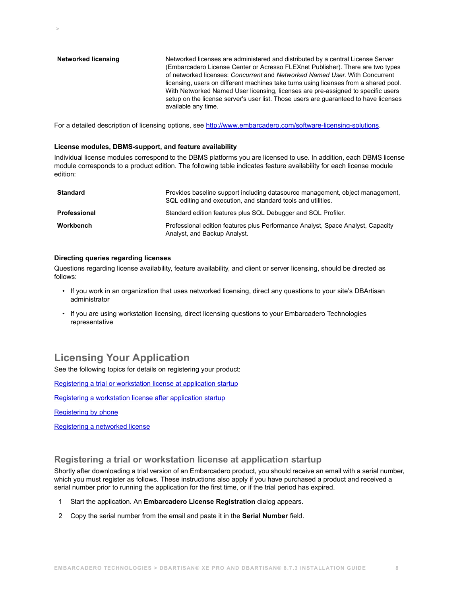**Networked licensing** Networked licenses are administered and distributed by a central License Server (Embarcadero License Center or Acresso FLEXnet Publisher). There are two types of networked licenses: *Concurrent* and *Networked Named User*. With Concurrent licensing, users on different machines take turns using licenses from a shared pool. With Networked Named User licensing, licenses are pre-assigned to specific users setup on the license server's user list. Those users are guaranteed to have licenses available any time.

For a detailed description of licensing options, see <http://www.embarcadero.com/software-licensing-solutions>.

#### **License modules, DBMS-support, and feature availability**

Individual license modules correspond to the DBMS platforms you are licensed to use. In addition, each DBMS license module corresponds to a product edition. The following table indicates feature availability for each license module edition:

| <b>Standard</b> | Provides baseline support including datasource management, object management,<br>SQL editing and execution, and standard tools and utilities. |
|-----------------|-----------------------------------------------------------------------------------------------------------------------------------------------|
| Professional    | Standard edition features plus SQL Debugger and SQL Profiler.                                                                                 |
| Workbench       | Professional edition features plus Performance Analyst, Space Analyst, Capacity<br>Analyst, and Backup Analyst.                               |

#### **Directing queries regarding licenses**

 **>** 

Questions regarding license availability, feature availability, and client or server licensing, should be directed as follows:

- If you work in an organization that uses networked licensing, direct any questions to your site's DBArtisan administrator
- If you are using workstation licensing, direct licensing questions to your Embarcadero Technologies representative

## <span id="page-7-0"></span>**Licensing Your Application**

See the following topics for details on registering your product:

[Registering a trial or workstation license at application startup](#page-7-1)

[Registering a workstation license after application startup](#page-8-0)

[Registering by phone](#page-8-1)

[Registering a networked license](#page-9-1)

### <span id="page-7-1"></span>**Registering a trial or workstation license at application startup**

Shortly after downloading a trial version of an Embarcadero product, you should receive an email with a serial number, which you must register as follows. These instructions also apply if you have purchased a product and received a serial number prior to running the application for the first time, or if the trial period has expired.

- 1 Start the application. An **Embarcadero License Registration** dialog appears.
- 2 Copy the serial number from the email and paste it in the **Serial Number** field.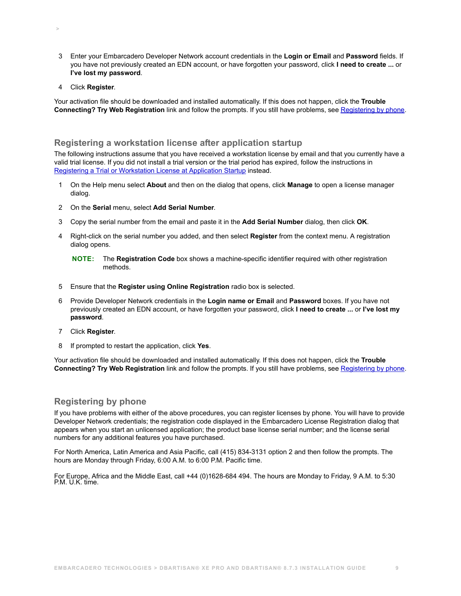- 3 Enter your Embarcadero Developer Network account credentials in the **Login or Email** and **Password** fields. If you have not previously created an EDN account, or have forgotten your password, click **I need to create ...** or **I've lost my password**.
- 4 Click **Register**.

 **>** 

Your activation file should be downloaded and installed automatically. If this does not happen, click the **Trouble Connecting? Try Web Registration** link and follow the prompts. If you still have problems, see [Registering by phone.](#page-8-1)

### <span id="page-8-0"></span>**Registering a workstation license after application startup**

The following instructions assume that you have received a workstation license by email and that you currently have a valid trial license. If you did not install a trial version or the trial period has expired, follow the instructions in [Registering a Trial or Workstation License at Application Startup](#page-7-1) instead.

- 1 On the Help menu select **About** and then on the dialog that opens, click **Manage** to open a license manager dialog.
- 2 On the **Serial** menu, select **Add Serial Number**.
- 3 Copy the serial number from the email and paste it in the **Add Serial Number** dialog, then click **OK**.
- 4 Right-click on the serial number you added, and then select **Register** from the context menu. A registration dialog opens.

- 5 Ensure that the **Register using Online Registration** radio box is selected.
- 6 Provide Developer Network credentials in the **Login name or Email** and **Password** boxes. If you have not previously created an EDN account, or have forgotten your password, click **I need to create ...** or **I've lost my password**.
- 7 Click **Register**.
- 8 If prompted to restart the application, click **Yes**.

Your activation file should be downloaded and installed automatically. If this does not happen, click the **Trouble Connecting? Try Web Registration** link and follow the prompts. If you still have problems, see [Registering by phone.](#page-8-1)

### <span id="page-8-1"></span>**Registering by phone**

If you have problems with either of the above procedures, you can register licenses by phone. You will have to provide Developer Network credentials; the registration code displayed in the Embarcadero License Registration dialog that appears when you start an unlicensed application; the product base license serial number; and the license serial numbers for any additional features you have purchased.

For North America, Latin America and Asia Pacific, call (415) 834-3131 option 2 and then follow the prompts. The hours are Monday through Friday, 6:00 A.M. to 6:00 P.M. Pacific time.

For Europe, Africa and the Middle East, call +44 (0)1628-684 494. The hours are Monday to Friday, 9 A.M. to 5:30 P.M. U.K. time.

**NOTE:** The **Registration Code** box shows a machine-specific identifier required with other registration methods.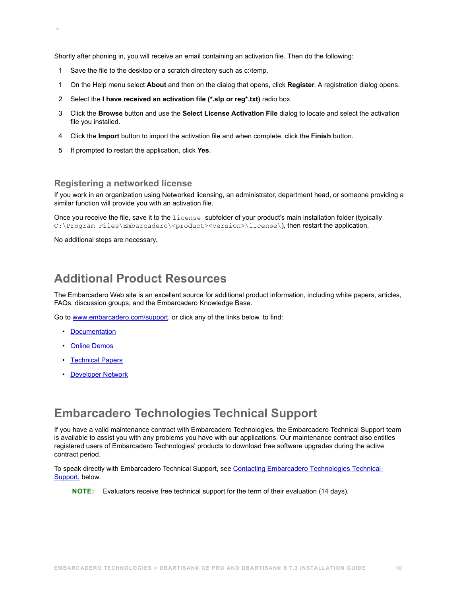Shortly after phoning in, you will receive an email containing an activation file. Then do the following:

- 1 Save the file to the desktop or a scratch directory such as c:\temp.
- 1 On the Help menu select **About** and then on the dialog that opens, click **Register**. A registration dialog opens.
- 2 Select the **I have received an activation file (\*.slp or reg\*.txt)** radio box.
- 3 Click the **Browse** button and use the **Select License Activation File** dialog to locate and select the activation file you installed.
- 4 Click the **Import** button to import the activation file and when complete, click the **Finish** button.
- 5 If prompted to restart the application, click **Yes**.

### <span id="page-9-1"></span>**Registering a networked license**

If you work in an organization using Networked licensing, an administrator, department head, or someone providing a similar function will provide you with an activation file.

Once you receive the file, save it to the license subfolder of your product's main installation folder (typically C:\Program Files\Embarcadero\<product><version>\license\), then restart the application.

No additional steps are necessary.

 **>** 

# <span id="page-9-0"></span>**Additional Product Resources**

The Embarcadero Web site is an excellent source for additional product information, including white papers, articles, FAQs, discussion groups, and the Embarcadero Knowledge Base.

Go to [www.embarcadero.com/support](http://www.embarcadero.com/support/), or click any of the links below, to find:

- [Documentation](http://docs.embarcadero.com)
- [Online Demos](http://www.embarcadero.com/resources/demos)
- [Technical Papers](http://www.embarcadero.com/resources/technical-papers)
- [Developer Network](http://edn.embarcadero.com)

# **Embarcadero Technologies Technical Support**

If you have a valid maintenance contract with Embarcadero Technologies, the Embarcadero Technical Support team is available to assist you with any problems you have with our applications. Our maintenance contract also entitles registered users of Embarcadero Technologies' products to download free software upgrades during the active contract period.

To speak directly with Embarcadero Technical Support, see Contacting Embarcadero Technologies Technical [Support,](#page-10-0) below.

**NOTE:** Evaluators receive free technical support for the term of their evaluation (14 days).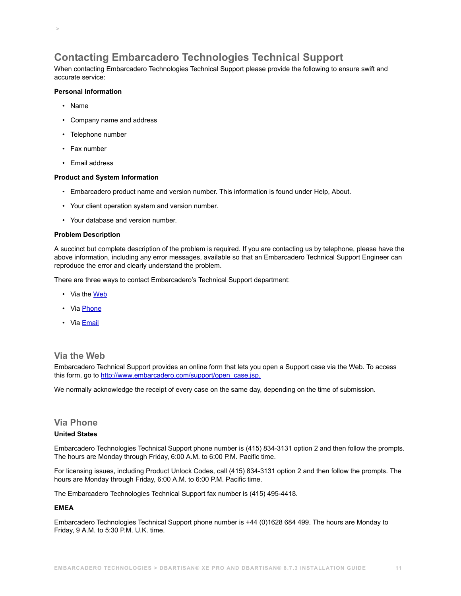# <span id="page-10-0"></span>**Contacting Embarcadero Technologies Technical Support**

When contacting Embarcadero Technologies Technical Support please provide the following to ensure swift and accurate service:

#### **Personal Information**

• Name

 **>** 

- Company name and address
- Telephone number
- Fax number
- Email address

#### **Product and System Information**

- Embarcadero product name and version number. This information is found under Help, About.
- Your client operation system and version number.
- Your database and version number.

#### **Problem Description**

A succinct but complete description of the problem is required. If you are contacting us by telephone, please have the above information, including any error messages, available so that an Embarcadero Technical Support Engineer can reproduce the error and clearly understand the problem.

There are three ways to contact Embarcadero's Technical Support department:

- Via the [Web](#page-10-1)
- Via [Phone](#page-10-2)
- Via **[Email](#page-11-0)**

### <span id="page-10-1"></span>**Via the Web**

Embarcadero Technical Support provides an online form that lets you open a Support case via the Web. To access this form, go to [http://www.embarcadero.com/support/open\\_case.jsp.](http://www.embarcadero.com/support/open_case.jsp)

We normally acknowledge the receipt of every case on the same day, depending on the time of submission.

### <span id="page-10-2"></span>**Via Phone**

#### **United States**

Embarcadero Technologies Technical Support phone number is (415) 834-3131 option 2 and then follow the prompts. The hours are Monday through Friday, 6:00 A.M. to 6:00 P.M. Pacific time.

For licensing issues, including Product Unlock Codes, call (415) 834-3131 option 2 and then follow the prompts. The hours are Monday through Friday, 6:00 A.M. to 6:00 P.M. Pacific time.

The Embarcadero Technologies Technical Support fax number is (415) 495-4418.

#### **EMEA**

Embarcadero Technologies Technical Support phone number is +44 (0)1628 684 499. The hours are Monday to Friday, 9 A.M. to 5:30 P.M. U.K. time.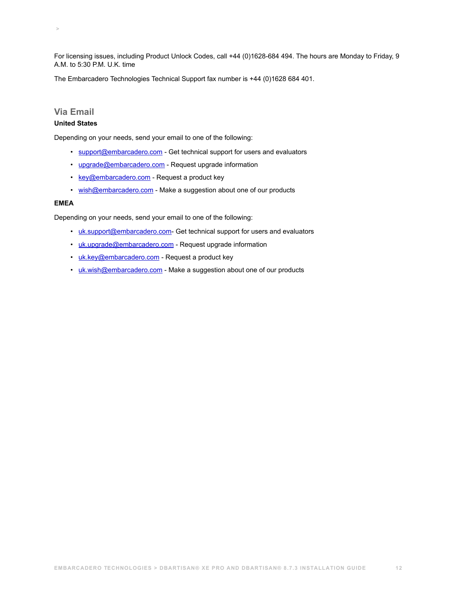For licensing issues, including Product Unlock Codes, call +44 (0)1628-684 494. The hours are Monday to Friday, 9 A.M. to 5:30 P.M. U.K. time

The Embarcadero Technologies Technical Support fax number is +44 (0)1628 684 401.

### <span id="page-11-0"></span>**Via Email**

 **>** 

#### **United States**

Depending on your needs, send your email to one of the following:

- [support@embarcadero.com](mailto:support@embarcadero.com?subject=Technical Support Request)  Get technical support for users and evaluators
- [upgrade@embarcadero.com](mailto:upgrade@embarcadero.com?subject=Upgrade Information Request)  Request upgrade information
- [key@embarcadero.com](mailto:key@embarcadero.com?subject=Key Request)  Request a product key
- [wish@embarcadero.com](mailto:wish@embarcadero.com?subject=Product Suggestion)  Make a suggestion about one of our products

#### **EMEA**

Depending on your needs, send your email to one of the following:

- [uk.support@embarcadero.com-](mailto:uk.support@embarcadero.com?subject=Technical Support Request) Get technical support for users and evaluators
- [uk.upgrade@embarcadero.com](mailto:uk.upgrade@embarcadero.com?subject=Upgrade Information Request)  Request upgrade information
- [uk.key@embarcadero.com](mailto:uk.key@embarcadero.com?subject=Key Request)  Request a product key
- [uk.wish@embarcadero.com](mailto:uk.wish@embarcadero.com?subject=Product Suggestion)  Make a suggestion about one of our products